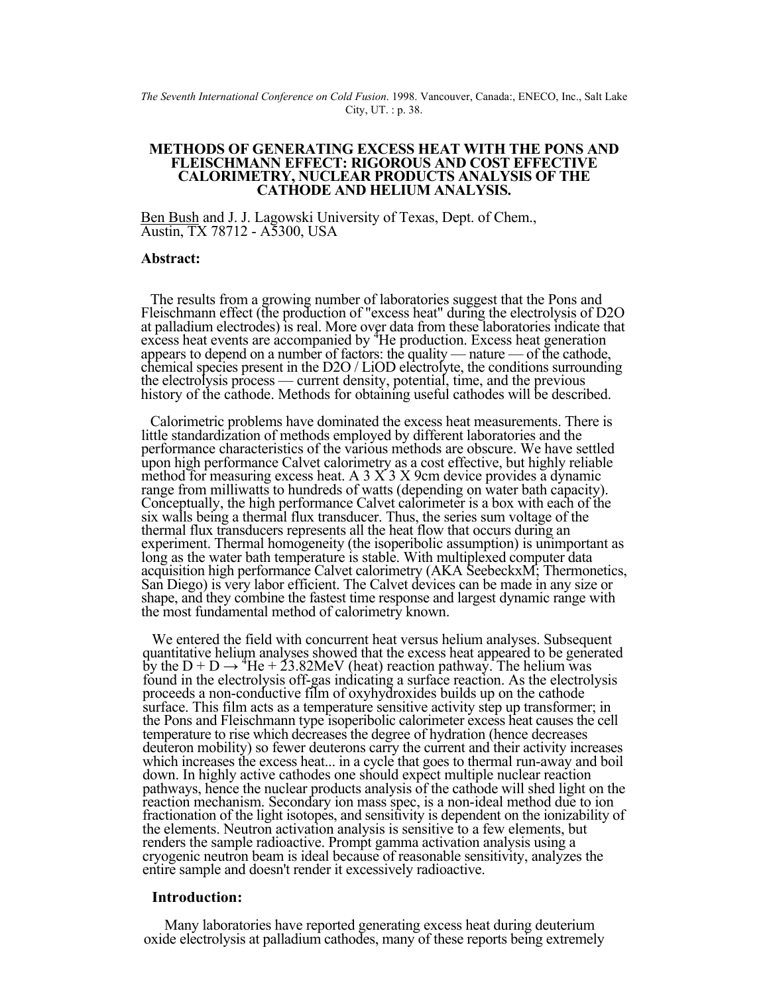*The Seventh International Conference on Cold Fusion*. 1998. Vancouver, Canada:, ENECO, Inc., Salt Lake City, UT. : p. 38.

### **METHODS OF GENERATING EXCESS HEAT WITH THE PONS AND FLEISCHMANN EFFECT: RIGOROUS AND COST EFFECTIVE CALORIMETRY, NUCLEAR PRODUCTS ANALYSIS OF THE CATHODE AND HELIUM ANALYSIS.**

Ben Bush and J. J. Lagowski University of Texas, Dept. of Chem., Austin, TX 78712 - A5300, USA

### **Abstract:**

The results from a growing number of laboratories suggest that the Pons and<br>Fleischmann effect (the production of "excess heat" during the electrolysis of D2O<br>at palladium electrodes) is real. More over data from these lab excess heat events are accompanied by <sup>4</sup> appears to depend on a number of factors: the quality — nature — of the cathode,<br>chemical species present in the D2O / LiOD electrolyte, the conditions surrounding<br>the electrolysis process — current density, potential, ti history of the cathode. Methods for obtaining useful cathodes will be described.

Calorimetric problems have dominated the excess heat measurements. There is little standardization of methods employed by different laboratories and the performance characteristics of the various methods are obscure. We have settled upon high performance Calvet calorimetry as a cost effective, but highly reliable<br>method for measuring excess heat. A 3 X 3 X 9cm device provides a dynamic<br>range from milliwatts to hundreds of watts (depending on water bat Conceptually, the high performance Calvet calorimeter is a box with each of the six walls being a thermal flux transducer. Thus, the series sum voltage of the thermal flux transducers represents all the heat flow that occu experiment. Thermal homogeneity (the isoperibolic assumption) is unimportant as<br>long as the water bath temperature is stable. With multiplexed computer data<br>acquisition high performance Calvet calorimetry (AKA SeebeckxM; T

We entered the field with concurrent heat versus helium analyses. Subsequent quantitative helium analyses showed that the excess heat appeared to be generated by the  $D + D \rightarrow {}^{4}He + 23.82MeV$  (heat) reaction pathway. The heli by the  $D + D \rightarrow {}^{4}He + 23.82MeV$  (heat) reaction pathway. The helium was<br>found in the electrolysis off-gas indicating a surface reaction. As the electrolysis<br>proceeds a non-conductive film of oxyhydroxides builds up on the ca the Pons and Fleischmann type isoperibolic calorimeter excess heat causes the cell<br>temperature to rise which decreases the degree of hydration (hence decreases<br>deuteron mobility) so fewer deuterons carry the current and th fractionation of the light isotopes, and sensitivity is dependent on the ionizability of the elements. Neutron activation analysis is sensitive to a few elements, but renders the sample radioactive. Prompt gamma activation cryogenic neutron beam is ideal because of reasonable sensitivity, analyzes the entire sample and doesn't render it excessively radioactive.

# **Introduction:**

Many laboratories have reported generating excess heat during deuterium oxide electrolysis at palladium cathodes, many of these reports being extremely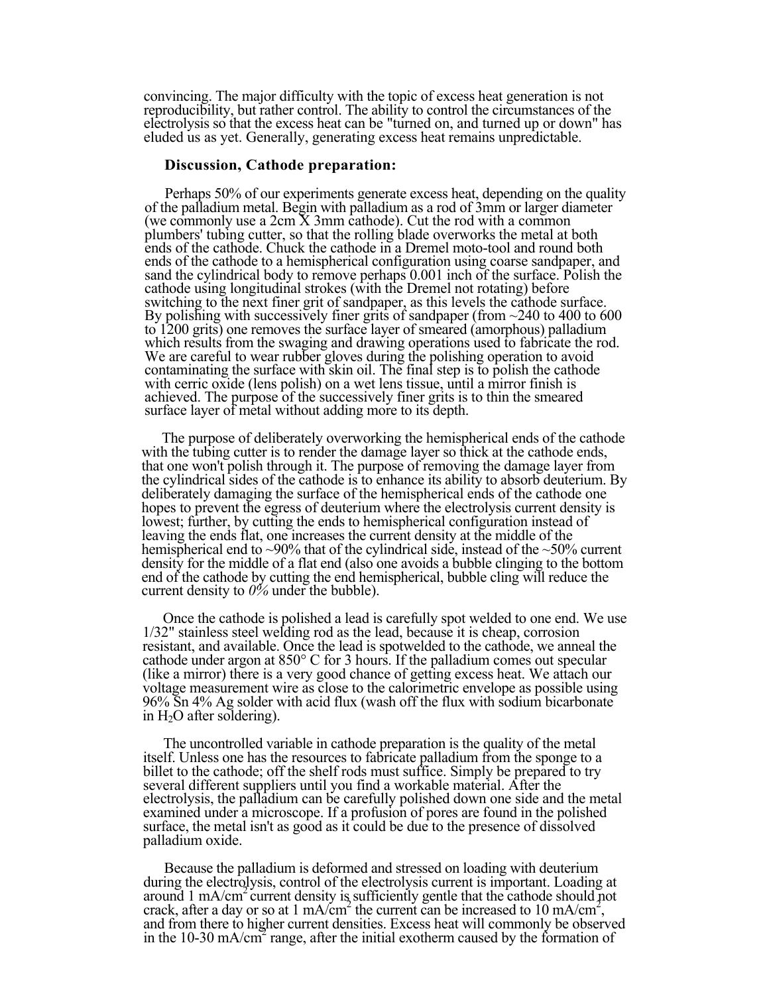convincing. The major difficulty with the topic of excess heat generation is not reproducibility, but rather control. The ability to control the circumstances of the electrolysis so that the excess heat can be "turned on, eluded us as yet. Generally, generating excess heat remains unpredictable.

## **Discussion, Cathode preparation:**

Perhaps 50% of our experiments generate excess heat, depending on the quality of the palladium metal. Begin with palladium as a rod of 3mm or larger diameter (we commonly use a 2cm X 3mm cathode). Cut the rod with a common plumbers' tubing cutter, so that the rolling blade overworks the metal at both ends of the cathode. Chuck the cathode in a Dremel moto-tool and round both ends of the cathode to a hemispherical configuration using coarse sandpaper, and sand the cylindrical body to remove perhaps  $0.001$  inch of the surface. Polish the cathode using longitudinal strokes (with the Dremel not rotating) before switching to the next finer grit of sandpaper, as this levels the cathode surface.<br>By polishing with successively finer grits of sandpaper (from  $\sim$  240 to 400 to 600 to 1200 grits) one removes the surface layer of smeared (amorphous) palladium<br>which results from the swaging and drawing operations used to fabricate the rod.<br>We are careful to wear rubber gloves during the polishing opera achieved. The purpose of the successively finer grits is to thin the smeared surface layer of metal without adding more to its depth.

The purpose of deliberately overworking the hemispherical ends of the cathode with the tubing cutter is to render the damage layer so thick at the cathode ends, that one won't polish through it. The purpose of removing the damage layer from the cylindrical sides of the cathode is to enhance its ability to absorb deuterium. By deliberately damaging the surface of the hemispherical ends of the cathode one hopes to prevent the egress of deuterium where the electrolysis current density is lowest; further, by cutting the ends to hemispherical configuration instead of leaving the ends flat, one increases the current density at the middle of the hemispherical end to ~90% that of the cylindrical side, instead of the ~50% current density for the middle of a flat end (also one avoids a bubble clinging to the bottom end of the cathode by cutting the end hemispherical, bubble cling will reduce the current density to *0%* under the bubble).

Once the cathode is polished a lead is carefully spot welded to one end. We use 1/32" stainless steel welding rod as the lead, because it is cheap, corrosion resistant, and available. Once the lead is spotwelded to the cathode, we anneal the cathode under argon at 850° C for 3 hours. If the palladium comes out specular (like a mirror) there is a very good chance of getting excess heat. We attach our voltage measurement wire as close to the calorimetric envelope as possible using 96% Sn 4% Ag solder with acid flux (wash off the flux with sodium bicarbonate in  $H_2O$  after soldering).

The uncontrolled variable in cathode preparation is the quality of the metal itself. Unless one has the resources to fabricate palladium from the sponge to a billet to the cathode; off the shelf rods must suffice. Simply be prepared to try several different suppliers until you find a workable material. After the electrolysis, the palladium can be carefully polished down one side and the metal examined under a microscope. If a profusion of pores are found in the polished surface, the metal isn't as good as it could be due to the presence of dissolved palladium oxide.

Because the palladium is deformed and stressed on loading with deuterium during the electrolysis, control of the electrolysis current is important. Loading at around 1 mA/cm2 current density is sufficiently gentle that the cathode should not crack, after a day or so at  $1 \text{ mA/cm}^2$  the current can be increased to  $10 \text{ mA/cm}^2$ , and from there to higher current densities. Excess heat will commonly be observed in the 10-30 mA/cm<sup>2</sup> range, after the initial exotherm caused by the formation of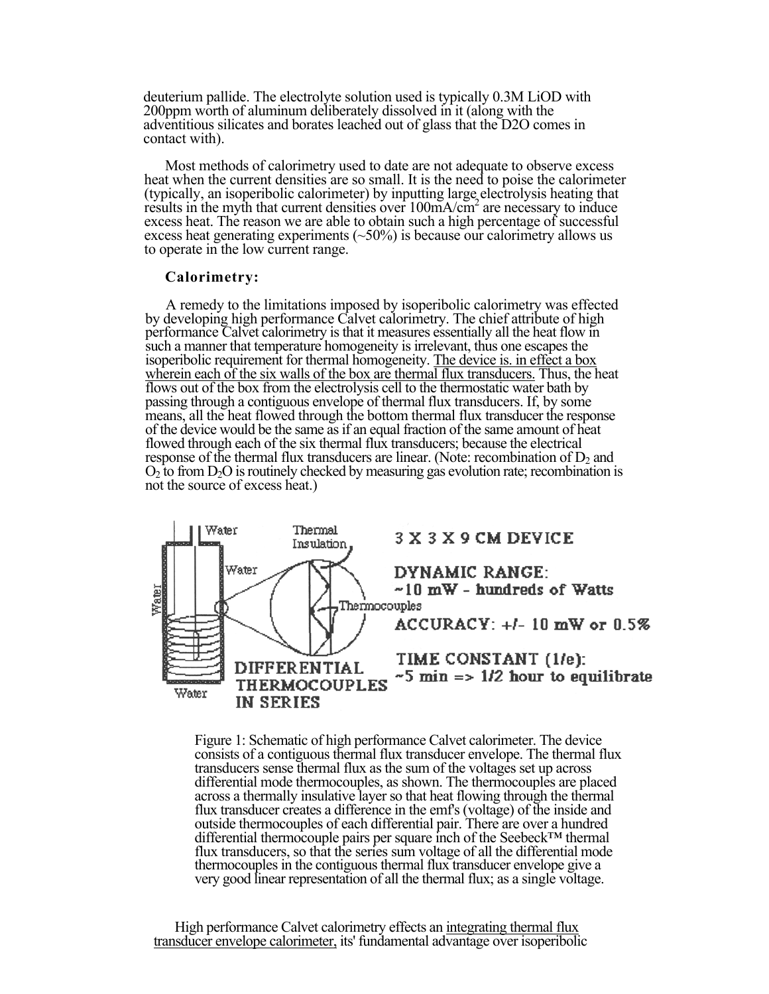deuterium pallide. The electrolyte solution used is typically 0.3M LiOD with 200ppm worth of aluminum deliberately dissolved in it (along with the adventitious silicates and borates leached out of glass that the D2O comes in contact with).

Most methods of calorimetry used to date are not adequate to observe excess heat when the current densities are so small. It is the need to poise the calorimeter (typically, an isoperibolic calorimeter) by inputting large electrolysis heating that results in the myth that current densities over 100mA/cm<sup>2</sup> are necessary to induce excess heat. The reason we are able to obtain such a high percentage of successful excess heat generating experiments  $(-50\%)$  is because our calorimetry allows us to operate in the low current range.

## **Calorimetry:**

A remedy to the limitations imposed by isoperibolic calorimetry was effected by developing high performance Calvet calorimetry. The chief attribute of high performance Calvet calorimetry is that it measures essentially all the heat flow in such a manner that temperature homogeneity is irrelevant, thus one escapes the isoperibolic requirement for thermal homogeneity. The device is, in effect a box wherein each of the six walls of the box are thermal flux transducers. Thus, the heat flows out of the box from the electrolysis cell to the thermostatic water bath by passing through a contiguous envelope of thermal flux transducers. If, by some means, all the heat flowed through the bottom thermal flux transducer the response of the device would be the same as if an equal fraction of the same amount of heat flowed through each of the six thermal flux transducers; because the electrical response of the thermal flux transducers are linear. (Note: recombination of  $D_2$  and  $O<sub>2</sub>$  to from  $D<sub>2</sub>O$  is routinely checked by measuring gas evolution rate; recombination is not the source of excess heat.)



Figure 1: Schematic of high performance Calvet calorimeter. The device consists of a contiguous thermal flux transducer envelope. The thermal flux transducers sense thermal flux as the sum of the voltages set up across differential mode thermocouples, as shown. The thermocouples are placed across a thermally insulative layer so that heat flowing through the thermal flux transducer creates a difference in the emf's (voltage) of the inside and outside thermocouples of each differential pair. There are over a hundred differential thermocouple pairs per square inch of the Seebeck™ thermal flux transducers, so that the series sum voltage of all the differential mode thermocouples in the contiguous thermal flux transducer envelope give a very good linear representation of all the thermal flux; as a single voltage.

High performance Calvet calorimetry effects an integrating thermal flux transducer envelope calorimeter, its' fundamental advantage over isoperibolic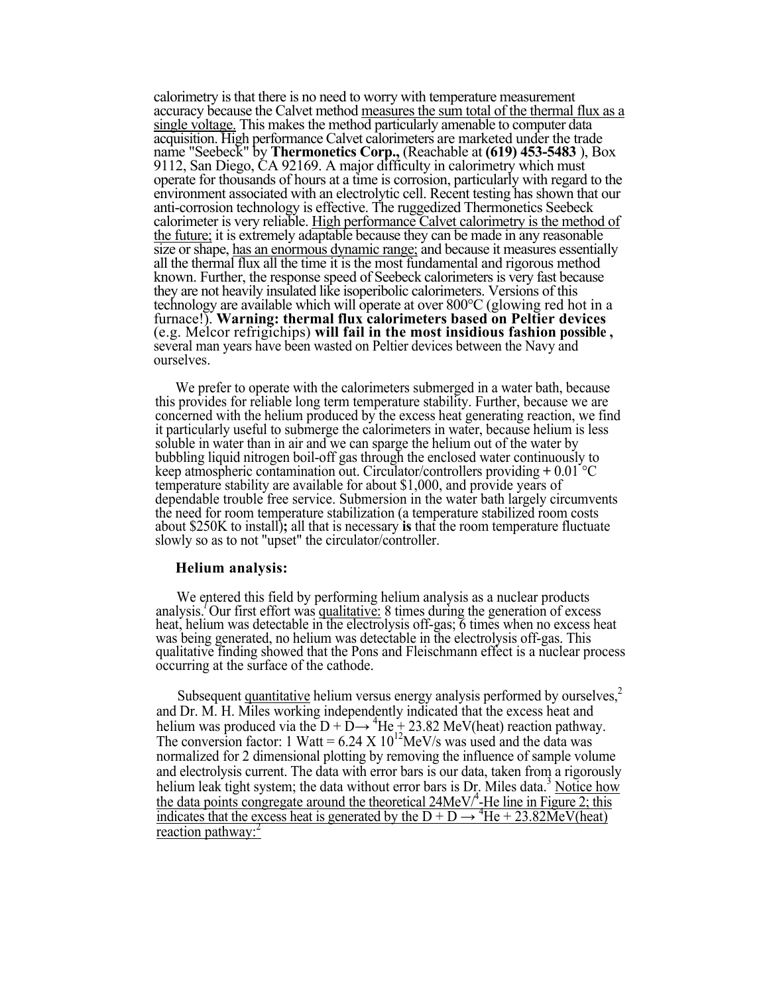calorimetry is that there is no need to worry with temperature measurement accuracy because the Calvet method measures the sum total of the thermal flux as a single voltage. This makes the method particularly amenable to computer data acquisition. High performance Calvet calorimeters are marketed under the trade name "Seebeck" by **Thermonetics Corp.,** (Reachable at **(619) 453-5483** ), Box 9112, San Diego, CA 92169. A major difficulty in calorimetry which must operate for thousands of hours at a time is corrosion, particularly with regard to the environment associated with an electrolytic cell. Recent testing has shown that our anti-corrosion technology is effective. The ruggedized Thermonetics Seebeck calorimeter is very reliable. High performance Calvet calorimetry is the method of the future; it is extremely adaptable because they can be made in any reasonable size or shape, has an enormous dynamic range; and because it measures essentially all the thermal flux all the time it is the most fundamental and rigorous method known. Further, the response speed of Seebeck calorimeters is very fast because they are not heavily insulated like isoperibolic calorimeters. Versions of this technology are available which will operate at over 800°C (glowing red hot in a furnace!). **Warning: thermal flux calorimeters based on Peltier devices**  (e.g. Melcor refrigichips) **will fail in the most insidious fashion possible ,**  several man years have been wasted on Peltier devices between the Navy and ourselves.

We prefer to operate with the calorimeters submerged in a water bath, because this provides for reliable long term temperature stability. Further, because we are concerned with the helium produced by the excess heat generating reaction, we find it particularly useful to submerge the calorimeters in water, because helium is less soluble in water than in air and we can sparge the helium out of the water by bubbling liquid nitrogen boil-off gas through the enclosed water continuously to keep atmospheric contamination out. Circulator/controllers providing **+** 0.01 °C temperature stability are available for about \$1,000, and provide years of dependable trouble free service. Submersion in the water bath largely circumvents the need for room temperature stabilization (a temperature stabilized room costs about \$250K to install)**;** all that is necessary **is** that the room temperature fluctuate slowly so as to not "upset" the circulator/controller.

# **Helium analysis:**

We entered this field by performing helium analysis as a nuclear products<br>analysis. Our first effort was <u>qualitative:</u> 8 times during the generation of excess<br>heat, helium was detectable in the electrolysis off-gas; 6 tim

Subsequent quantitative helium versus energy analysis performed by ourselves,<sup>2</sup> and Dr. M. H. Miles working independently indicated that the excess heat and helium was produced via the  $D + D \rightarrow {}^{4}He + 23.82$  MeV(heat) reaction pathway. The conversion factor: 1 Watt =  $6.24 \text{ X} 10^{12}$ MeV/s was used and the data was normalized for 2 dimensional plotting by removing the influence of sample volume and electrolysis current. The data with error bars is our data, taken from a rigorously helium leak tight system; the data without error bars is Dr. Miles data.<sup>3</sup> Notice how the data points congregate around the theoretical  $24MeV'^{4}$ -He line in Figure 2; this indicates that the excess heat is generated by the  $D + D \rightarrow {}^{4}He + 23.82 \text{MeV}$  (heat) reaction pathway: $2$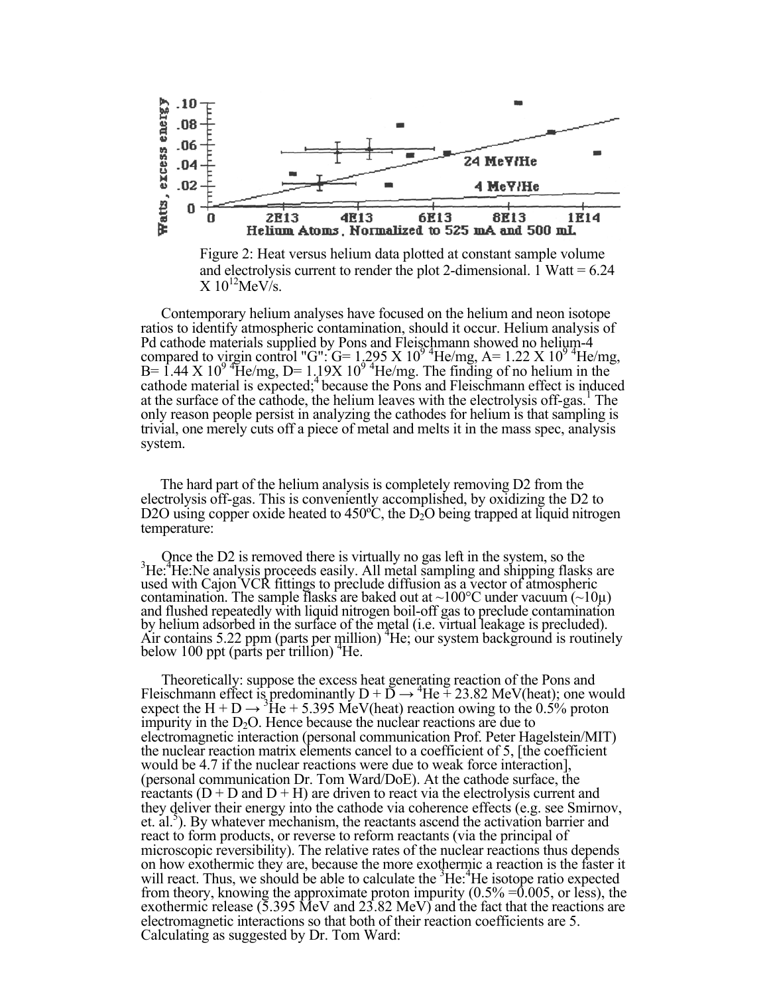

Figure 2: Heat versus helium data plotted at constant sample volume and electrolysis current to render the plot 2-dimensional. 1 Watt =  $6.24$  $\overline{X}$  10<sup>12</sup>MeV/s.

Contemporary helium analyses have focused on the helium and neon isotope ratios to identify atmospheric contamination, should it occur. Helium analysis of Pd cathode materials supplied by Pons and Fleischmann showed no helium-4 compared to virgin control "G":  $G = 1.295 \times 10^{9}$  He/mg,  $A = 1.22 \times 10^{9}$  He/mg,  $B = 1.44 \text{ X } 10^{9}$  He/mg,  $D = 1.19 \text{ X } 10^{9}$  He/mg. The finding of no helium in the cathode material is expected;4 because the Pons and Fleischmann effect is induced at the surface of the cathode, the helium leaves with the electrolysis off-gas.<sup>1</sup> The only reason people persist in analyzing the cathodes for helium is that sampling is trivial, one merely cuts off a piece of metal and melts it in the mass spec, analysis system.

The hard part of the helium analysis is completely removing D2 from the electrolysis off-gas. This is conveniently accomplished, by oxidizing the D2 to D2O using copper oxide heated to 450 $^{\circ}$ C, the D<sub>2</sub>O being trapped at liquid nitrogen temperature:

Once the D2 is removed there is virtually no gas left in the system, so the 3 He:<sup>4</sup>He:Ne analysis proceeds easily. All metal sampling and shipping flasks are used with Cajon VCR fittings to preclude diffusion as a vector of atmospheric contamination. The sample flasks are baked out at ~100°C under vacuum (~10 $\mu$ ) and flushed repeatedly with liquid nitrogen boil-off gas to preclude contamination by helium adsorbed in the surface of the metal (i.e. virtual leakage is precluded). Air contains  $5.22$  ppm (parts per million)  $H$ e; our system background is routinely below 100 ppt (parts per trillion) <sup>+</sup>He.

Theoretically: suppose the excess heat generating reaction of the Pons and Fleischmann effect is predominantly  $D + D \rightarrow {}^{4}He + 23.82$  MeV(heat); one would expect the  $H + D \rightarrow {}^{3}He + 5.395$  MeV(heat) reaction owing to the 0.5% proton impurity in the  $D_2O$ . Hence because the nuclear reactions are due to electromagnetic interaction (personal communication Prof. Peter Hagelstein/MIT) the nuclear reaction matrix elements cancel to a coefficient of 5, [the coefficient would be 4.7 if the nuclear reactions were due to weak force interaction]. (personal communication Dr. Tom Ward/DoE). At the cathode surface, the reactants  $(D + D$  and  $D + H$ ) are driven to react via the electrolysis current and they deliver their energy into the cathode via coherence effects (e.g. see Smirnov, et. al.<sup>5</sup>). By whatever mechanism, the reactants ascend the activation barrier and react to form products, or reverse to reform reactants (via the principal of microscopic reversibility). The relative rates of the nuclear reactions thus depends on how exothermic they are, because the more exothermic a reaction is the faster it will react. Thus, we should be able to calculate the <sup>3</sup>He: <sup>4</sup>He isotope ratio expected from theory, knowing the approximate proton impurity  $(0.5\% = 0.005)$ , or less), the exothermic release (5.395 MeV and 23.82 MeV) and the fact that the reactions are electromagnetic interactions so that both of their reaction coefficients are 5. Calculating as suggested by Dr. Tom Ward: